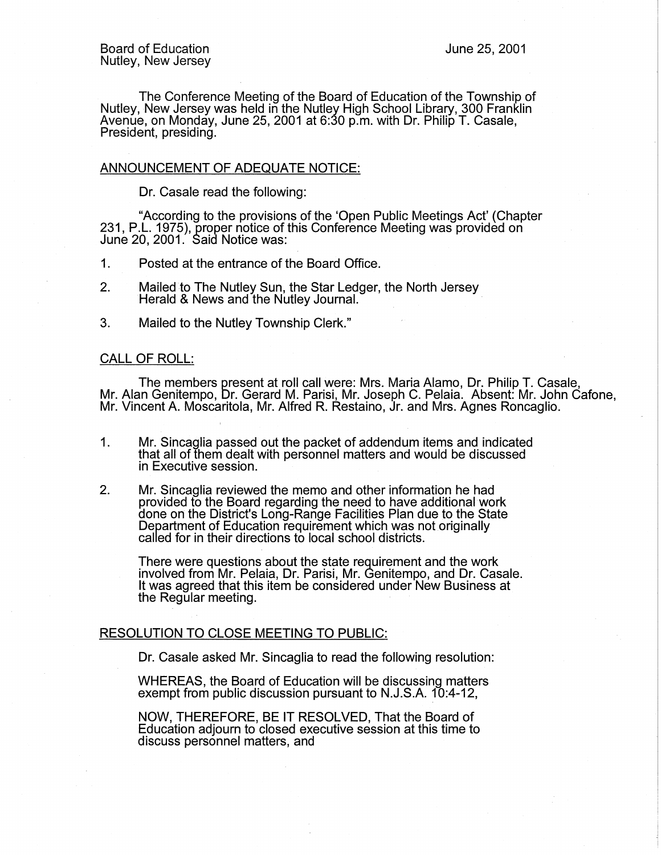The Conference Meeting of the Board of Education of the Township of Nutley, New Jersey was held in the Nutley High School Library, 300 Franklin Avenue, on Monday, June 25, 2001 at 6:30 p.m. with Dr. Philip T. Casale, President, presiding.

## ANNOUNCEMENT OF ADEQUATE NOTICE:

Dr. Casale read the following:

"According to the provisions of the 'Open Public Meetings Act' (Chapter 231, P.L. 1975), proper notice of this Conference Meeting was provided on June 20, 2001. Said Notice was:

1. Posted at the entrance of the Board Office.

- 2. Mailed to The Nutley Sun, the Star Ledger, the North Jersey Herald & News and the Nutley Journal.
- 3. Mailed to the Nutley Township Clerk."

## CALL OF ROLL:

The members present at roll call were: Mrs. Maria Alamo, Dr. Philip T. Casale, Mr. Alan Genitempo, Dr. Gerard M. Parisi, Mr. Joseph C. Pelaia. Absent: Mr. John Cafone, Mr. Vincent A. Moscaritola, Mr. Alfred R. Restaino, Jr. and Mrs. Agnes Roncaglio.

- 1. Mr. Sincaglia passed out the packet of addendum items and indicated that all of them dealt with personnel matters and would be discussed in Executive session.
- 2. Mr. Sincaglia reviewed the memo and other information he had provided to the Board regarding the need to have additional work done on the District's Long-Range Facilities Plan due to the State Department of Education requirement which was not originally called for in their directions to local school districts.

There were questions about the state requirement and the work involved from Mr. Pelaia, Dr. Parisi, Mr. Genitempo, and Dr. Casale. It was agreed that this item be considered under New Business at the Regular meeting.

## RESOLUTION TO CLOSE MEETING TO PUBLIC:

Dr. Casale asked Mr. Sincaglia to read the following resolution:

WHEREAS, the Board of Education will be discussing matters exempt from public discussion pursuant to N.J.S.A. 10:4-12,

NOW, THEREFORE, BE IT RESOLVED, That the Board of Education adjourn to closed executive session at this time to discuss personnel matters, and